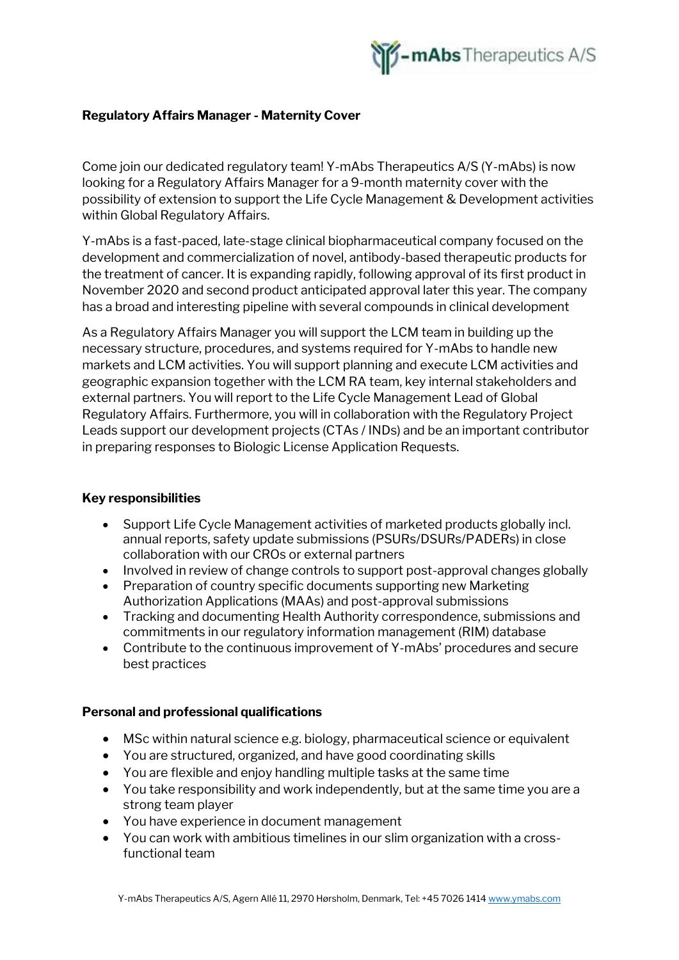

## **Regulatory Affairs Manager - Maternity Cover**

Come join our dedicated regulatory team! Y-mAbs Therapeutics A/S (Y-mAbs) is now looking for a Regulatory Affairs Manager for a 9-month maternity cover with the possibility of extension to support the Life Cycle Management & Development activities within Global Regulatory Affairs.

Y-mAbs is a fast-paced, late-stage clinical biopharmaceutical company focused on the development and commercialization of novel, antibody-based therapeutic products for the treatment of cancer. It is expanding rapidly, following approval of its first product in November 2020 and second product anticipated approval later this year. The company has a broad and interesting pipeline with several compounds in clinical development

As a Regulatory Affairs Manager you will support the LCM team in building up the necessary structure, procedures, and systems required for Y-mAbs to handle new markets and LCM activities. You will support planning and execute LCM activities and geographic expansion together with the LCM RA team, key internal stakeholders and external partners. You will report to the Life Cycle Management Lead of Global Regulatory Affairs. Furthermore, you will in collaboration with the Regulatory Project Leads support our development projects (CTAs / INDs) and be an important contributor in preparing responses to Biologic License Application Requests.

## **Key responsibilities**

- Support Life Cycle Management activities of marketed products globally incl. annual reports, safety update submissions (PSURs/DSURs/PADERs) in close collaboration with our CROs or external partners
- Involved in review of change controls to support post-approval changes globally
- Preparation of country specific documents supporting new Marketing Authorization Applications (MAAs) and post-approval submissions
- Tracking and documenting Health Authority correspondence, submissions and commitments in our regulatory information management (RIM) database
- Contribute to the continuous improvement of Y-mAbs' procedures and secure best practices

## **Personal and professional qualifications**

- MSc within natural science e.g. biology, pharmaceutical science or equivalent
- You are structured, organized, and have good coordinating skills
- You are flexible and enjoy handling multiple tasks at the same time
- You take responsibility and work independently, but at the same time you are a strong team player
- You have experience in document management
- You can work with ambitious timelines in our slim organization with a crossfunctional team